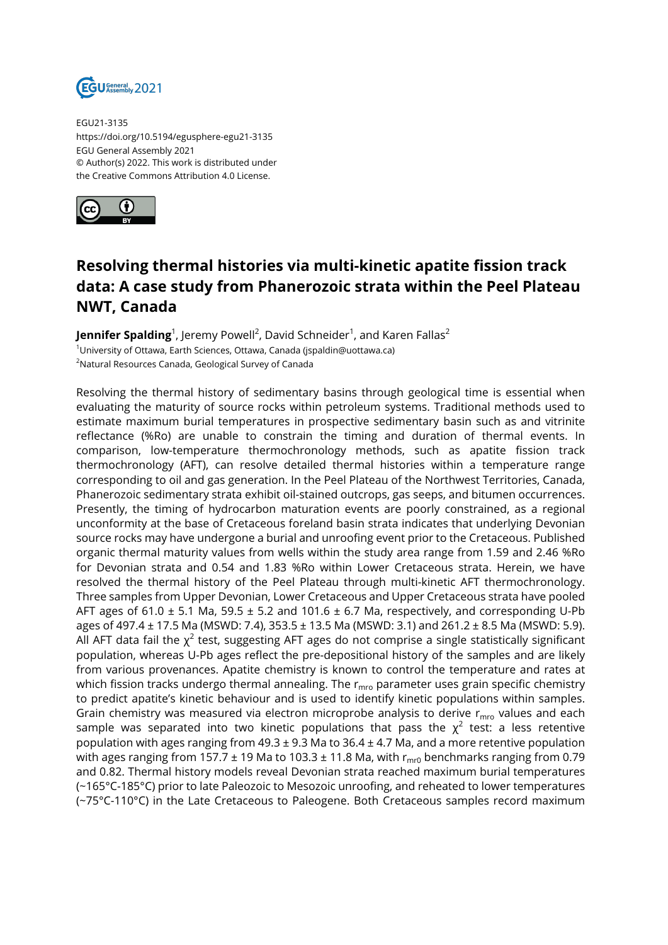

EGU21-3135 https://doi.org/10.5194/egusphere-egu21-3135 EGU General Assembly 2021 © Author(s) 2022. This work is distributed under the Creative Commons Attribution 4.0 License.



## **Resolving thermal histories via multi-kinetic apatite fission track data: A case study from Phanerozoic strata within the Peel Plateau NWT, Canada**

**Jennifer Spalding**<sup>1</sup>, Jeremy Powell<sup>2</sup>, David Schneider<sup>1</sup>, and Karen Fallas<sup>2</sup> <sup>1</sup>University of Ottawa, Earth Sciences, Ottawa, Canada (jspaldin@uottawa.ca) <sup>2</sup>Natural Resources Canada, Geological Survey of Canada

Resolving the thermal history of sedimentary basins through geological time is essential when evaluating the maturity of source rocks within petroleum systems. Traditional methods used to estimate maximum burial temperatures in prospective sedimentary basin such as and vitrinite reflectance (%Ro) are unable to constrain the timing and duration of thermal events. In comparison, low-temperature thermochronology methods, such as apatite fission track thermochronology (AFT), can resolve detailed thermal histories within a temperature range corresponding to oil and gas generation. In the Peel Plateau of the Northwest Territories, Canada, Phanerozoic sedimentary strata exhibit oil-stained outcrops, gas seeps, and bitumen occurrences. Presently, the timing of hydrocarbon maturation events are poorly constrained, as a regional unconformity at the base of Cretaceous foreland basin strata indicates that underlying Devonian source rocks may have undergone a burial and unroofing event prior to the Cretaceous. Published organic thermal maturity values from wells within the study area range from 1.59 and 2.46 %Ro for Devonian strata and 0.54 and 1.83 %Ro within Lower Cretaceous strata. Herein, we have resolved the thermal history of the Peel Plateau through multi-kinetic AFT thermochronology. Three samples from Upper Devonian, Lower Cretaceous and Upper Cretaceous strata have pooled AFT ages of 61.0  $\pm$  5.1 Ma, 59.5  $\pm$  5.2 and 101.6  $\pm$  6.7 Ma, respectively, and corresponding U-Pb ages of 497.4  $\pm$  17.5 Ma (MSWD: 7.4), 353.5  $\pm$  13.5 Ma (MSWD: 3.1) and 261.2  $\pm$  8.5 Ma (MSWD: 5.9). All AFT data fail the  $\chi^2$  test, suggesting AFT ages do not comprise a single statistically significant population, whereas U-Pb ages reflect the pre-depositional history of the samples and are likely from various provenances. Apatite chemistry is known to control the temperature and rates at which fission tracks undergo thermal annealing. The  $r_{\rm mro}$  parameter uses grain specific chemistry to predict apatite's kinetic behaviour and is used to identify kinetic populations within samples. Grain chemistry was measured via electron microprobe analysis to derive  $r_{\text{mro}}$  values and each sample was separated into two kinetic populations that pass the  $\chi^2$  test: a less retentive population with ages ranging from  $49.3 \pm 9.3$  Ma to  $36.4 \pm 4.7$  Ma, and a more retentive population with ages ranging from 157.7  $\pm$  19 Ma to 103.3  $\pm$  11.8 Ma, with  $r_{\text{mrf}}$  benchmarks ranging from 0.79 and 0.82. Thermal history models reveal Devonian strata reached maximum burial temperatures (~165°C-185°C) prior to late Paleozoic to Mesozoic unroofing, and reheated to lower temperatures (~75°C-110°C) in the Late Cretaceous to Paleogene. Both Cretaceous samples record maximum